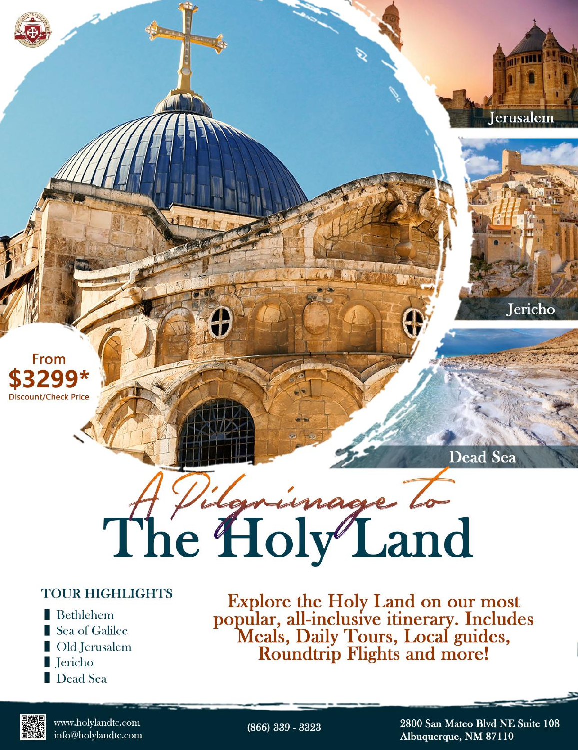

# Dead Sea A Vilgningge To

#### **TOUR HIGHLIGHTS**

- $\blacksquare$  Bethlehem Sea of Galilee Old Jerusalem
- I Jericho
- Dead Sea

Explore the Holy Land on our most<br>popular, all-inclusive itinerary. Includes<br>Meals, Daily Tours, Local guides,<br>Roundtrip Flights and more!



www.holylandtc.com info@holylandtc.com

 $(866)$  339 - 3323

2800 San Mateo Blvd NE Suite 108 Albuquerque, NM 87110

Jerusalem

**Jericho**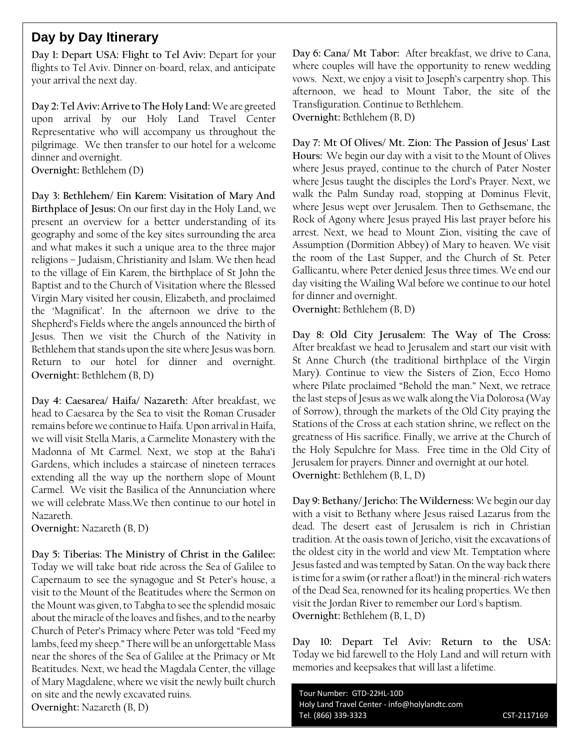#### **Day by Day Itinerary**

**Day 1: Depart USA: Flight to Tel Aviv:** Depart for your flights to Tel Aviv. Dinner on-board, relax, and anticipate your arrival the next day.

**Day 2: Tel Aviv: Arrive to The Holy Land:** We are greeted upon arrival by our Holy Land Travel Center Representative who will accompany us throughout the pilgrimage. We then transfer to our hotel for a welcome dinner and overnight.

**Overnight:** Bethlehem (D)

**Day 3: Bethlehem/ Ein Karem: Visitation of Mary And Birthplace of Jesus:** On our first day in the Holy Land, we present an overview for a better understanding of its geography and some of the key sites surrounding the area and what makes it such a unique area to the three major religions – Judaism, Christianity and Islam. We then head to the village of Ein Karem, the birthplace of St John the Baptist and to the Church of Visitation where the Blessed Virgin Mary visited her cousin, Elizabeth, and proclaimed the 'Magnificat'. In the afternoon we drive to the Shepherd's Fields where the angels announced the birth of Jesus. Then we visit the Church of the Nativity in Bethlehem that stands upon the site where Jesus was born. Return to our hotel for dinner and overnight. **Overnight:** Bethlehem (B, D)

**Day 4: Caesarea/ Haifa/ Nazareth:** After breakfast, we head to Caesarea by the Sea to visit the Roman Crusader remains before we continue to Haifa. Upon arrival in Haifa, we will visit Stella Maris, a Carmelite Monastery with the Madonna of Mt Carmel. Next, we stop at the Baha'i Gardens, which includes a staircase of nineteen terraces extending all the way up the northern slope of Mount Carmel. We visit the Basilica of the Annunciation where we will celebrate Mass.We then continue to our hotel in Nazareth.

**Overnight:** Nazareth (B, D)

**Day 5: Tiberias: The Ministry of Christ in the Galilee:** Today we will take boat ride across the Sea of Galilee to Capernaum to see the synagogue and St Peter's house, a visit to the Mount of the Beatitudes where the Sermon on the Mount was given, to Tabgha to see the splendid mosaic about the miracle of the loaves and fishes, and to the nearby Church of Peter's Primacy where Peter was told "Feed my lambs, feed my sheep." There will be an unforgettable Mass near the shores of the Sea of Galilee at the Primacy or Mt Beatitudes. Next, we head the Magdala Center, the village of Mary Magdalene, where we visit the newly built church on site and the newly excavated ruins. **Overnight:** Nazareth (B, D)

**Day 6: Cana/ Mt Tabor:** After breakfast, we drive to Cana, where couples will have the opportunity to renew wedding vows. Next, we enjoy a visit to Joseph's carpentry shop. This afternoon, we head to Mount Tabor, the site of the Transfiguration. Continue to Bethlehem.

**Overnight:** Bethlehem (B, D)

**Day 7: Mt Of Olives/ Mt. Zion: The Passion of Jesus' Last Hours:** We begin our day with a visit to the Mount of Olives where Jesus prayed, continue to the church of Pater Noster where Jesus taught the disciples the Lord's Prayer. Next, we walk the Palm Sunday road, stopping at Dominus Flevit, where Jesus wept over Jerusalem. Then to Gethsemane, the Rock of Agony where Jesus prayed His last prayer before his arrest. Next, we head to Mount Zion, visiting the cave of Assumption (Dormition Abbey) of Mary to heaven. We visit the room of the Last Supper, and the Church of St. Peter Gallicantu, where Peter denied Jesus three times. We end our day visiting the Wailing Wal before we continue to our hotel for dinner and overnight.

**Overnight:** Bethlehem (B, D)

**Day 8: Old City Jerusalem: The Way of The Cross:** After breakfast we head to Jerusalem and start our visit with St Anne Church (the traditional birthplace of the Virgin Mary). Continue to view the Sisters of Zion, Ecco Homo where Pilate proclaimed "Behold the man." Next, we retrace the last steps of Jesus as we walk along the Via Dolorosa (Way of Sorrow), through the markets of the Old City praying the Stations of the Cross at each station shrine, we reflect on the greatness of His sacrifice. Finally, we arrive at the Church of the Holy Sepulchre for Mass. Free time in the Old City of Jerusalem for prayers. Dinner and overnight at our hotel. **Overnight:** Bethlehem (B, L, D)

**Day 9: Bethany/ Jericho: The Wilderness:** We begin our day with a visit to Bethany where Jesus raised Lazarus from the dead. The desert east of Jerusalem is rich in Christian tradition. At the oasis town of Jericho, visit the excavations of the oldest city in the world and view Mt. Temptation where Jesus fasted and was tempted by Satan. On the way back there is time for a swim (or rather a float!) in the mineral-rich waters of the Dead Sea, renowned for its healing properties. We then visit the Jordan River to remember our Lord's baptism. **Overnight:** Bethlehem (B, L, D)

**Day 10: Depart Tel Aviv: Return to the USA:** Today we bid farewell to the Holy Land and will return with memories and keepsakes that will last a lifetime.

Tour Number: GTD-22HL-10D Holy Land Travel Center - info@holylandtc.com Tel. (866) 339-3323 CST-2117169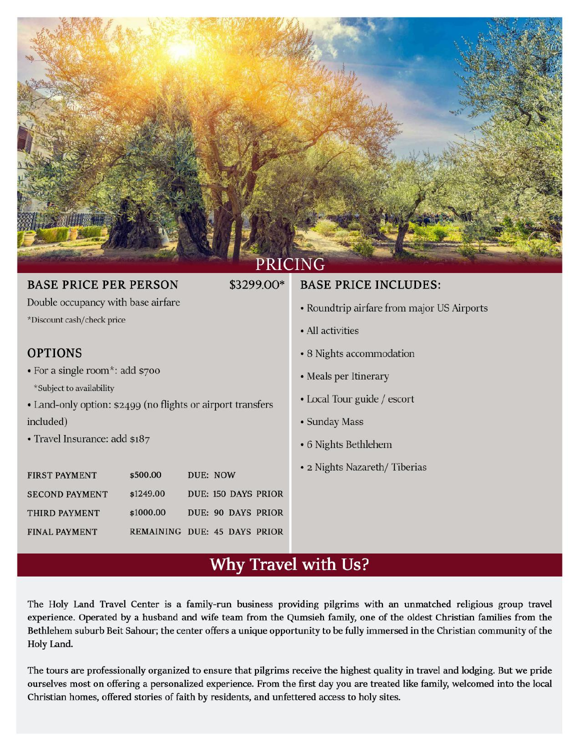

| <b>BASE PRICE PER PERSON</b>                                                            |           | \$3299.00*                   | <b>BASE PRICE INCLUDES:</b>                |
|-----------------------------------------------------------------------------------------|-----------|------------------------------|--------------------------------------------|
| Double occupancy with base airfare                                                      |           |                              | • Roundtrip airfare from major US Airports |
| *Discount cash/check price                                                              |           |                              | • All activities                           |
| <b>OPTIONS</b>                                                                          |           |                              | • 8 Nights accommodation                   |
| • For a single room*: add $$700$                                                        |           |                              | • Meals per Itinerary                      |
| *Subject to availability<br>• Land-only option: \$2499 (no flights or airport transfers |           |                              | • Local Tour guide / escort                |
| included)                                                                               |           |                              | • Sunday Mass                              |
| • Travel Insurance: add \$187                                                           |           |                              | • 6 Nights Bethlehem                       |
| <b>FIRST PAYMENT</b>                                                                    | \$500.00  | DUE: NOW                     | • 2 Nights Nazareth/Tiberias               |
| <b>SECOND PAYMENT</b>                                                                   | \$1249.00 | <b>DUE: 150 DAYS PRIOR</b>   |                                            |
| THIRD PAYMENT                                                                           | \$1000.00 | DUE: 90 DAYS PRIOR           |                                            |
| <b>FINAL PAYMENT</b>                                                                    |           | REMAINING DUE: 45 DAYS PRIOR |                                            |

## Why Travel with Us?

The Holy Land Travel Center is a family-run business providing pilgrims with an unmatched religious group travel experience. Operated by a husband and wife team from the Qumsieh family, one of the oldest Christian families from the Bethlehem suburb Beit Sahour; the center offers a unique opportunity to be fully immersed in the Christian community of the Holy Land.

The tours are professionally organized to ensure that pilgrims receive the highest quality in travel and lodging. But we pride ourselves most on offering a personalized experience. From the first day you are treated like family, welcomed into the local Christian homes, offered stories of faith by residents, and unfettered access to holy sites.